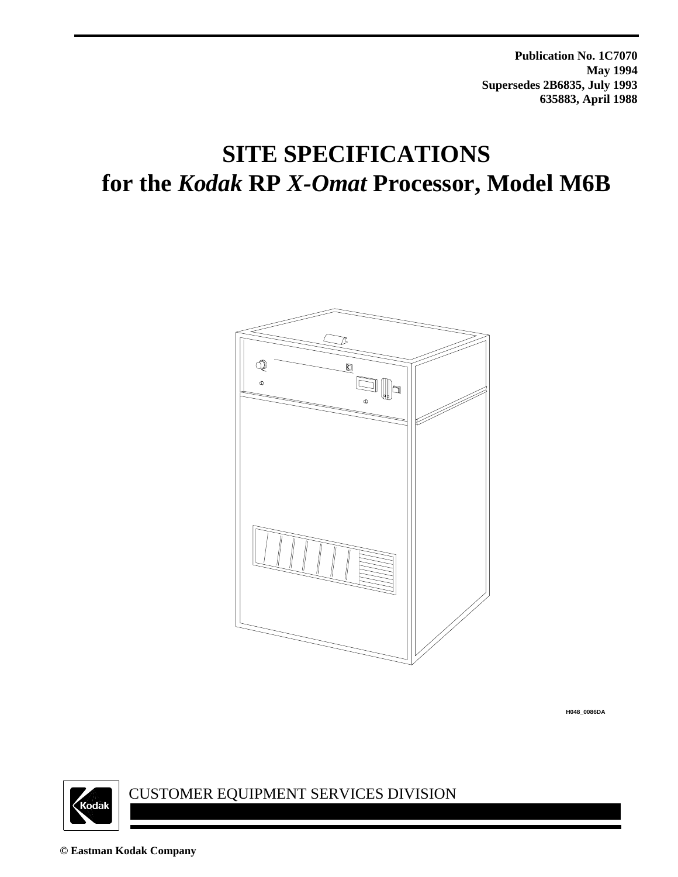**Publication No. 1C7070 May 1994 Supersedes 2B6835, July 1993 635883, April 1988**

# **SITE SPECIFICATIONS for the** *Kodak* **RP** *X-Omat* **Processor, Model M6B**



**H048\_0086DA**



CUSTOMER EQUIPMENT SERVICES DIVISION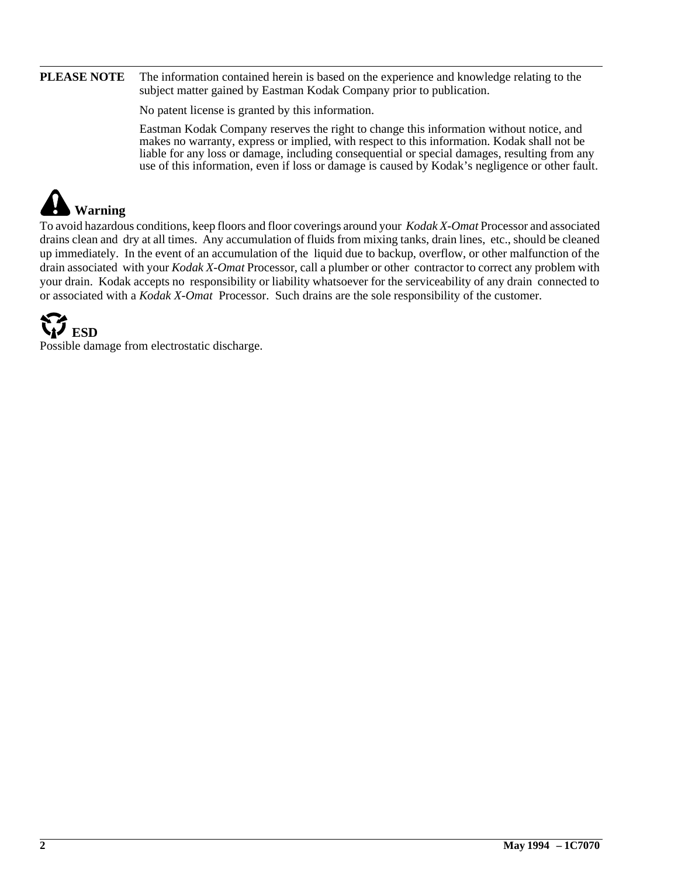#### **PLEASE NOTE** The information contained herein is based on the experience and knowledge relating to the subject matter gained by Eastman Kodak Company prior to publication.

No patent license is granted by this information.

Eastman Kodak Company reserves the right to change this information without notice, and makes no warranty, express or implied, with respect to this information. Kodak shall not be liable for any loss or damage, including consequential or special damages, resulting from any use of this information, even if loss or damage is caused by Kodak's negligence or other fault.

# **Warning**

To avoid hazardous conditions, keep floors and floor coverings around your *Kodak X-Omat* Processor and associated drains clean and dry at all times. Any accumulation of fluids from mixing tanks, drain lines, etc., should be cleaned up immediately. In the event of an accumulation of the liquid due to backup, overflow, or other malfunction of the drain associated with your *Kodak X-Omat* Processor, call a plumber or other contractor to correct any problem with your drain. Kodak accepts no responsibility or liability whatsoever for the serviceability of any drain connected to or associated with a *Kodak X-Omat* Processor. Such drains are the sole responsibility of the customer.

# **ESD**

Possible damage from electrostatic discharge.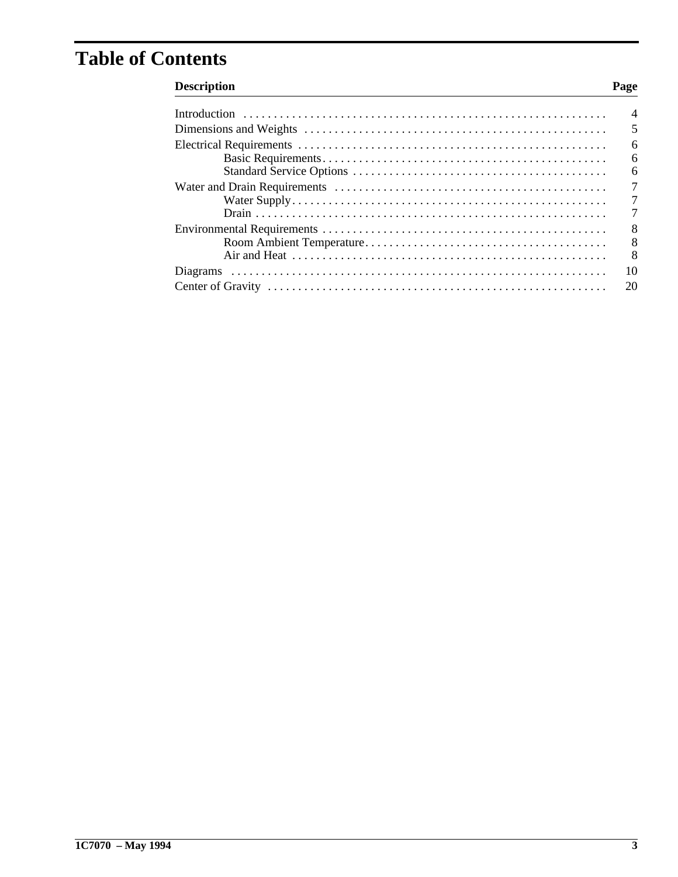# **Table of Contents**

## **Description**

### Page

| $\overline{4}$                   |
|----------------------------------|
| 5                                |
| 6                                |
| 6                                |
| 6                                |
| $\overline{7}$                   |
| $\overline{7}$<br>$\overline{7}$ |
|                                  |
| 8<br>$\overline{8}$              |
| 8                                |
| 10                               |
| 20                               |
|                                  |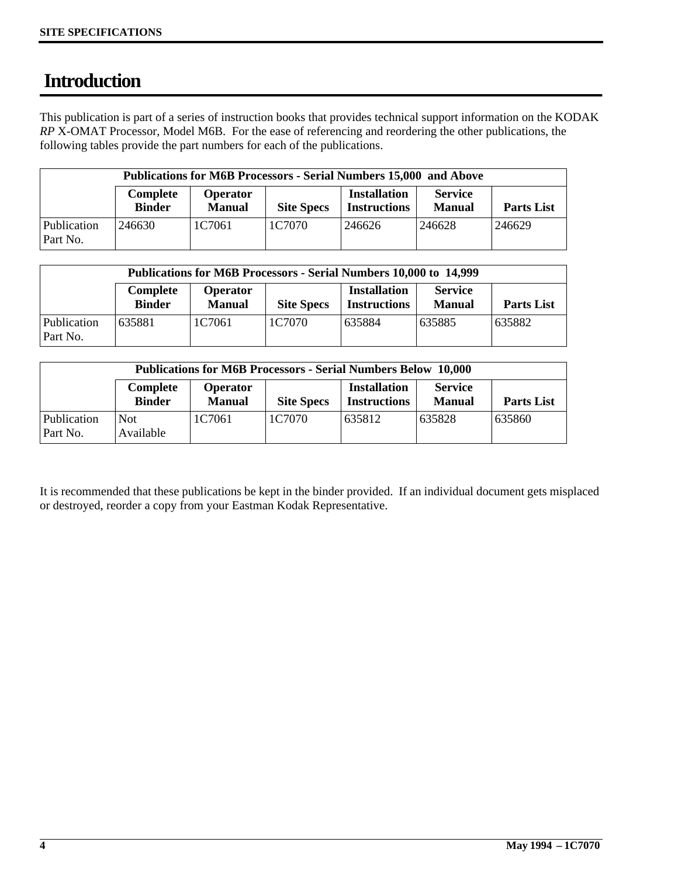# **Introduction**

This publication is part of a series of instruction books that provides technical support information on the KODAK *RP* X-OMAT Processor, Model M6B. For the ease of referencing and reordering the other publications, the following tables provide the part numbers for each of the publications.

|                         |                           | <b>Publications for M6B Processors - Serial Numbers 15,000 and Above</b> |                   |                                            |                                 |                   |
|-------------------------|---------------------------|--------------------------------------------------------------------------|-------------------|--------------------------------------------|---------------------------------|-------------------|
|                         | Complete<br><b>Binder</b> | <b>Operator</b><br><b>Manual</b>                                         | <b>Site Specs</b> | <b>Installation</b><br><b>Instructions</b> | <b>Service</b><br><b>Manual</b> | <b>Parts List</b> |
| Publication<br>Part No. | 246630                    | 1C7061                                                                   | 1C7070            | 246626                                     | 246628                          | 246629            |

|                         | <b>Publications for M6B Processors - Serial Numbers 10,000 to 14,999</b> |                                  |                   |                                            |                                 |                   |
|-------------------------|--------------------------------------------------------------------------|----------------------------------|-------------------|--------------------------------------------|---------------------------------|-------------------|
|                         | Complete<br><b>Binder</b>                                                | <b>Operator</b><br><b>Manual</b> | <b>Site Specs</b> | <b>Installation</b><br><b>Instructions</b> | <b>Service</b><br><b>Manual</b> | <b>Parts List</b> |
| Publication<br>Part No. | 635881                                                                   | 1C7061                           | 1C7070            | 635884                                     | 635885                          | 635882            |

|                         | <b>Publications for M6B Processors - Serial Numbers Below 10,000</b> |                           |                   |                                            |                                 |                   |
|-------------------------|----------------------------------------------------------------------|---------------------------|-------------------|--------------------------------------------|---------------------------------|-------------------|
|                         | Complete<br><b>Binder</b>                                            | Operator<br><b>Manual</b> | <b>Site Specs</b> | <b>Installation</b><br><b>Instructions</b> | <b>Service</b><br><b>Manual</b> | <b>Parts List</b> |
| Publication<br>Part No. | <b>Not</b><br>Available                                              | 1C7061                    | 1C7070            | 635812                                     | 635828                          | 635860            |

It is recommended that these publications be kept in the binder provided. If an individual document gets misplaced or destroyed, reorder a copy from your Eastman Kodak Representative.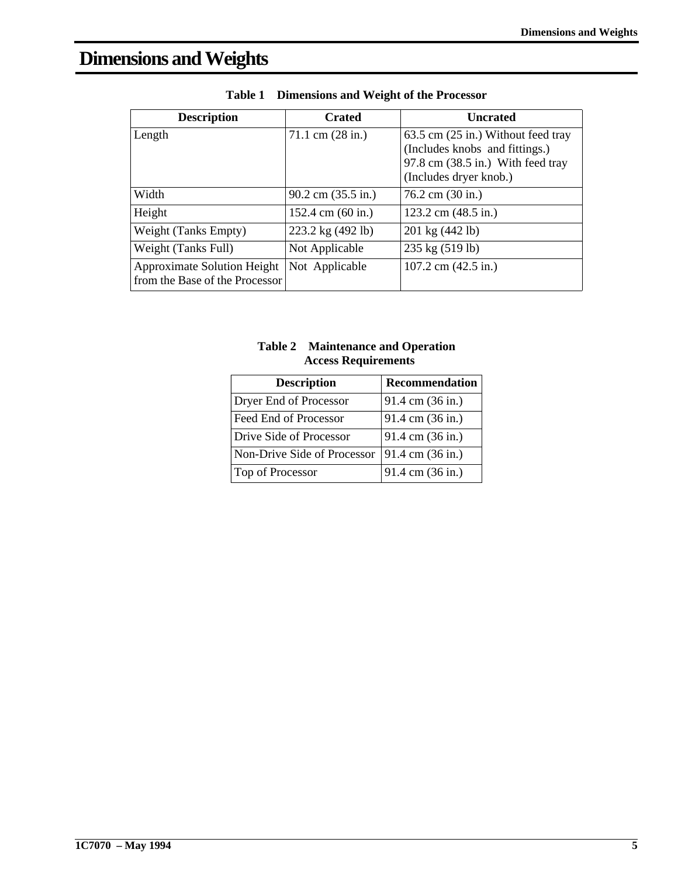# **Dimensions and Weights**

| <b>Description</b>                                                   | <b>Crated</b>                      | <b>Uncrated</b>                                                                                                                               |
|----------------------------------------------------------------------|------------------------------------|-----------------------------------------------------------------------------------------------------------------------------------------------|
| Length                                                               | $71.1 \text{ cm} (28 \text{ in.})$ | 63.5 cm (25 in.) Without feed tray<br>(Includes knobs and fittings.)<br>97.8 cm $(38.5 \text{ in.})$ With feed tray<br>(Includes dryer knob.) |
| Width                                                                | $90.2$ cm $(35.5 \text{ in.})$     | $76.2$ cm $(30 \text{ in.})$                                                                                                                  |
| Height                                                               | 152.4 cm $(60 \text{ in.})$        | 123.2 cm $(48.5 \text{ in.})$                                                                                                                 |
| Weight (Tanks Empty)                                                 | 223.2 kg (492 lb)                  | 201 kg (442 lb)                                                                                                                               |
| Weight (Tanks Full)                                                  | Not Applicable                     | 235 kg (519 lb)                                                                                                                               |
| <b>Approximate Solution Height</b><br>from the Base of the Processor | Not Applicable                     | 107.2 cm $(42.5 \text{ in.})$                                                                                                                 |

|  | Table 1 Dimensions and Weight of the Processor |  |  |
|--|------------------------------------------------|--|--|
|--|------------------------------------------------|--|--|

| <b>Table 2</b> Maintenance and Operation |
|------------------------------------------|
| <b>Access Requirements</b>               |

| <b>Description</b>          | <b>Recommendation</b> |
|-----------------------------|-----------------------|
| Dryer End of Processor      | 91.4 cm (36 in.)      |
| Feed End of Processor       | 91.4 cm (36 in.)      |
| Drive Side of Processor     | 91.4 cm (36 in.)      |
| Non-Drive Side of Processor | 91.4 cm (36 in.)      |
| Top of Processor            | 91.4 cm (36 in.)      |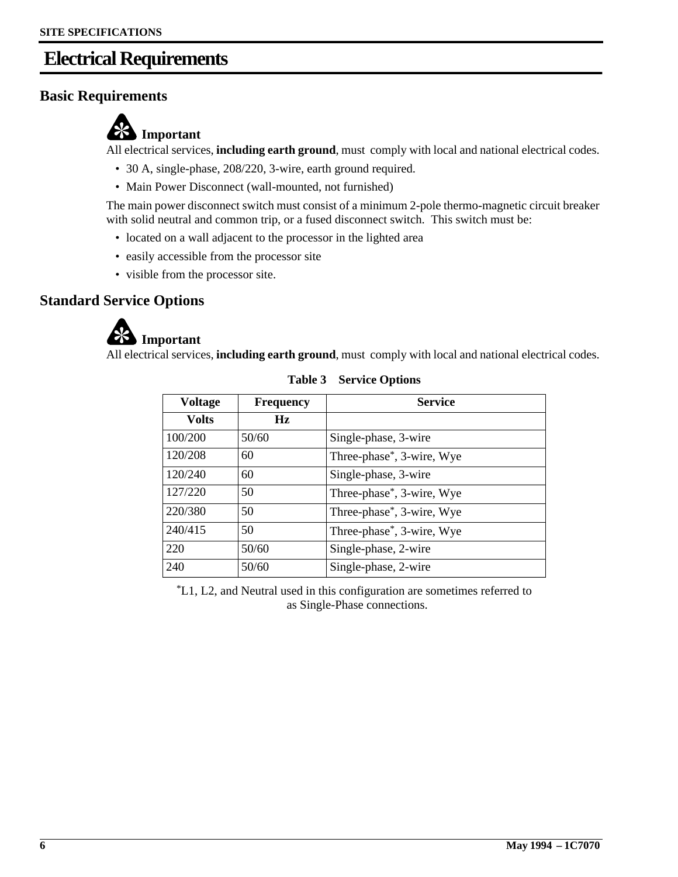## **Electrical Requirements**

## **Basic Requirements**



All electrical services, **including earth ground**, must comply with local and national electrical codes.

- 30 A, single-phase, 208/220, 3-wire, earth ground required.
- Main Power Disconnect (wall-mounted, not furnished)

The main power disconnect switch must consist of a minimum 2-pole thermo-magnetic circuit breaker with solid neutral and common trip, or a fused disconnect switch. This switch must be:

- located on a wall adjacent to the processor in the lighted area
- easily accessible from the processor site
- visible from the processor site.

## **Standard Service Options**



All electrical services, **including earth ground**, must comply with local and national electrical codes.

| <b>Voltage</b> | <b>Frequency</b> | <b>Service</b>            |
|----------------|------------------|---------------------------|
| <b>Volts</b>   | Hz               |                           |
| 100/200        | 50/60            | Single-phase, 3-wire      |
| 120/208        | 60               | Three-phase*, 3-wire, Wye |
| 120/240        | 60               | Single-phase, 3-wire      |
| 127/220        | 50               | Three-phase*, 3-wire, Wye |
| 220/380        | 50               | Three-phase*, 3-wire, Wye |
| 240/415        | 50               | Three-phase*, 3-wire, Wye |
| 220            | 50/60            | Single-phase, 2-wire      |
| 240            | 50/60            | Single-phase, 2-wire      |

#### **Table 3 Service Options**

\*L1, L2, and Neutral used in this configuration are sometimes referred to as Single-Phase connections.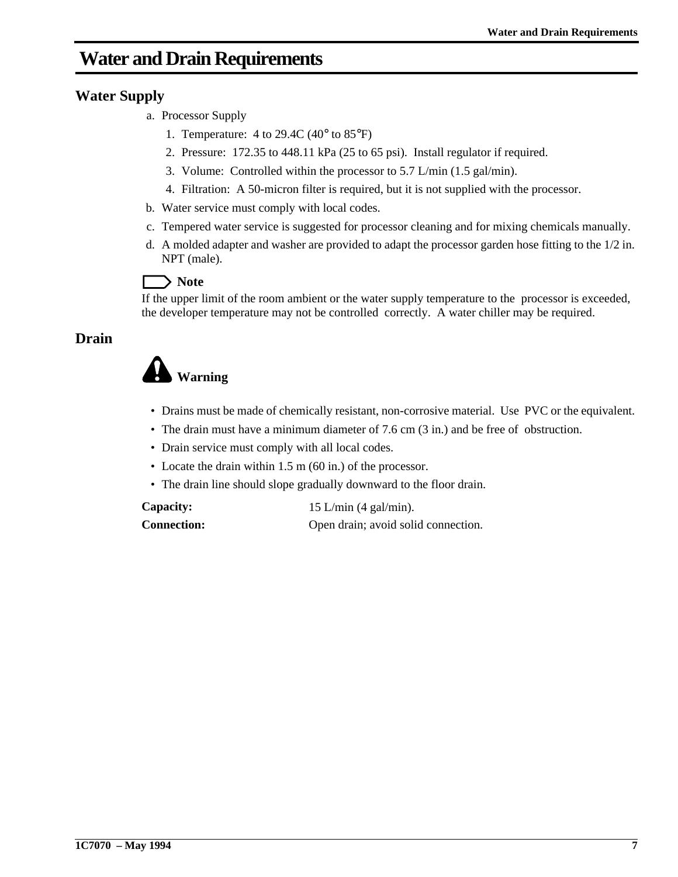## **Water and Drain Requirements**

## **Water Supply**

- a. Processor Supply
	- 1. Temperature:  $4$  to 29.4C (40 $\degree$  to 85 $\degree$ F)
	- 2. Pressure: 172.35 to 448.11 kPa (25 to 65 psi). Install regulator if required.
	- 3. Volume: Controlled within the processor to 5.7 L/min (1.5 gal/min).
	- 4. Filtration: A 50-micron filter is required, but it is not supplied with the processor.
- b. Water service must comply with local codes.
- c. Tempered water service is suggested for processor cleaning and for mixing chemicals manually.
- d. A molded adapter and washer are provided to adapt the processor garden hose fitting to the 1/2 in. NPT (male).

## Note

If the upper limit of the room ambient or the water supply temperature to the processor is exceeded, the developer temperature may not be controlled correctly. A water chiller may be required.

## **Drain**

# **Warning**

- Drains must be made of chemically resistant, non-corrosive material. Use PVC or the equivalent.
- The drain must have a minimum diameter of 7.6 cm (3 in.) and be free of obstruction.
- Drain service must comply with all local codes.
- Locate the drain within 1.5 m (60 in.) of the processor.
- The drain line should slope gradually downward to the floor drain.

**Capacity:** 15 L/min (4 gal/min). **Connection:** Open drain; avoid solid connection.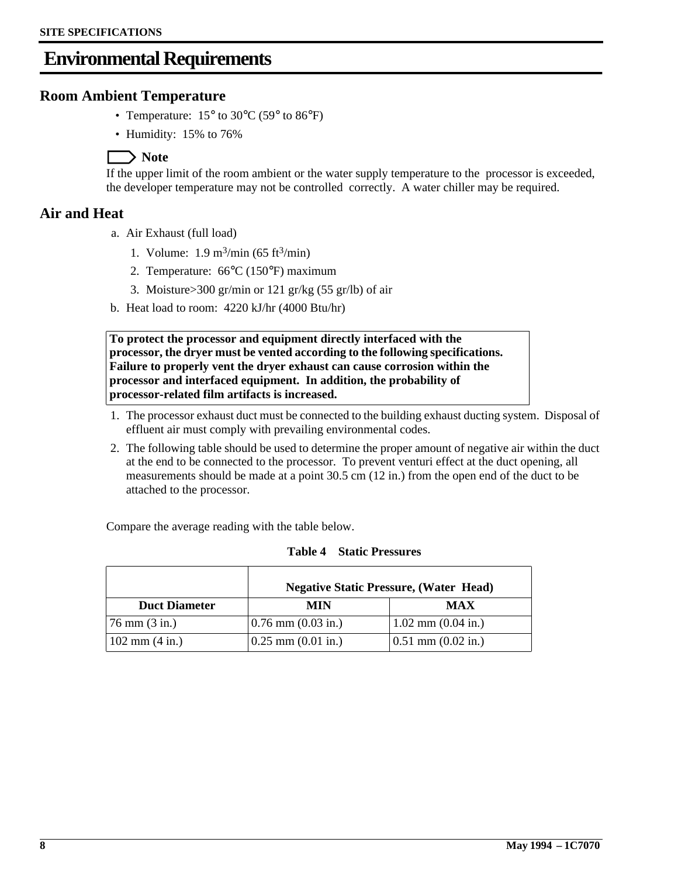## **Environmental Requirements**

### **Room Ambient Temperature**

- Temperature:  $15^{\circ}$  to  $30^{\circ}$ C (59° to  $86^{\circ}$ F)
- Humidity: 15% to 76%

## **Note**

If the upper limit of the room ambient or the water supply temperature to the processor is exceeded, the developer temperature may not be controlled correctly. A water chiller may be required.

### **Air and Heat**

- a. Air Exhaust (full load)
	- 1. Volume:  $1.9 \text{ m}^3/\text{min}$  (65 ft $^3/\text{min}$ )
	- 2. Temperature: 66°C (150°F) maximum
	- 3. Moisture>300 gr/min or 121 gr/kg (55 gr/lb) of air
- b. Heat load to room: 4220 kJ/hr (4000 Btu/hr)

**To protect the processor and equipment directly interfaced with the processor, the dryer must be vented according to the following specifications. Failure to properly vent the dryer exhaust can cause corrosion within the processor and interfaced equipment. In addition, the probability of processor-related film artifacts is increased.**

- 1. The processor exhaust duct must be connected to the building exhaust ducting system. Disposal of effluent air must comply with prevailing environmental codes.
- 2. The following table should be used to determine the proper amount of negative air within the duct at the end to be connected to the processor. To prevent venturi effect at the duct opening, all measurements should be made at a point 30.5 cm (12 in.) from the open end of the duct to be attached to the processor.

Compare the average reading with the table below.

|                                   | <b>Negative Static Pressure, (Water Head)</b> |                        |  |
|-----------------------------------|-----------------------------------------------|------------------------|--|
| <b>Duct Diameter</b>              | MIN                                           | <b>MAX</b>             |  |
| $(76 \text{ mm} (3 \text{ in.}))$ | $(0.76 \text{ mm } (0.03 \text{ in.})$        | $1.02$ mm $(0.04$ in.) |  |
| $102 \text{ mm} (4 \text{ in.})$  | $0.25$ mm $(0.01$ in.)                        | $0.51$ mm $(0.02$ in.) |  |

**Table 4 Static Pressures**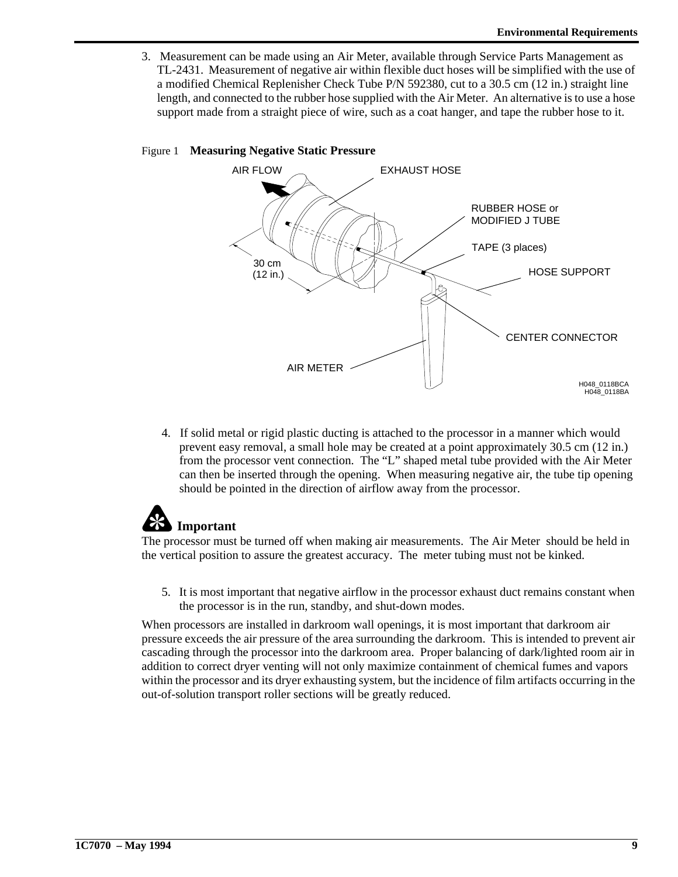3. Measurement can be made using an Air Meter, available through Service Parts Management as TL-2431. Measurement of negative air within flexible duct hoses will be simplified with the use of a modified Chemical Replenisher Check Tube P/N 592380, cut to a 30.5 cm (12 in.) straight line length, and connected to the rubber hose supplied with the Air Meter. An alternative is to use a hose support made from a straight piece of wire, such as a coat hanger, and tape the rubber hose to it.

#### Figure 1 **Measuring Negative Static Pressure**



4. If solid metal or rigid plastic ducting is attached to the processor in a manner which would prevent easy removal, a small hole may be created at a point approximately 30.5 cm (12 in.) from the processor vent connection. The "L" shaped metal tube provided with the Air Meter can then be inserted through the opening. When measuring negative air, the tube tip opening should be pointed in the direction of airflow away from the processor.

# **Important**

The processor must be turned off when making air measurements. The Air Meter should be held in the vertical position to assure the greatest accuracy. The meter tubing must not be kinked.

5. It is most important that negative airflow in the processor exhaust duct remains constant when the processor is in the run, standby, and shut-down modes.

When processors are installed in darkroom wall openings, it is most important that darkroom air pressure exceeds the air pressure of the area surrounding the darkroom. This is intended to prevent air cascading through the processor into the darkroom area. Proper balancing of dark/lighted room air in addition to correct dryer venting will not only maximize containment of chemical fumes and vapors within the processor and its dryer exhausting system, but the incidence of film artifacts occurring in the out-of-solution transport roller sections will be greatly reduced.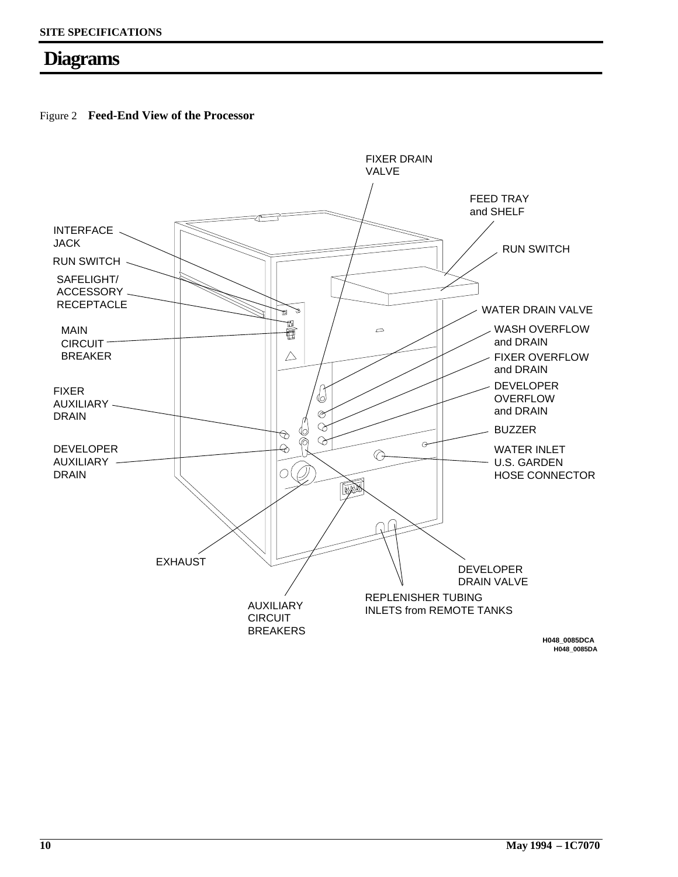## **Diagrams**

Figure 2 **Feed-End View of the Processor**

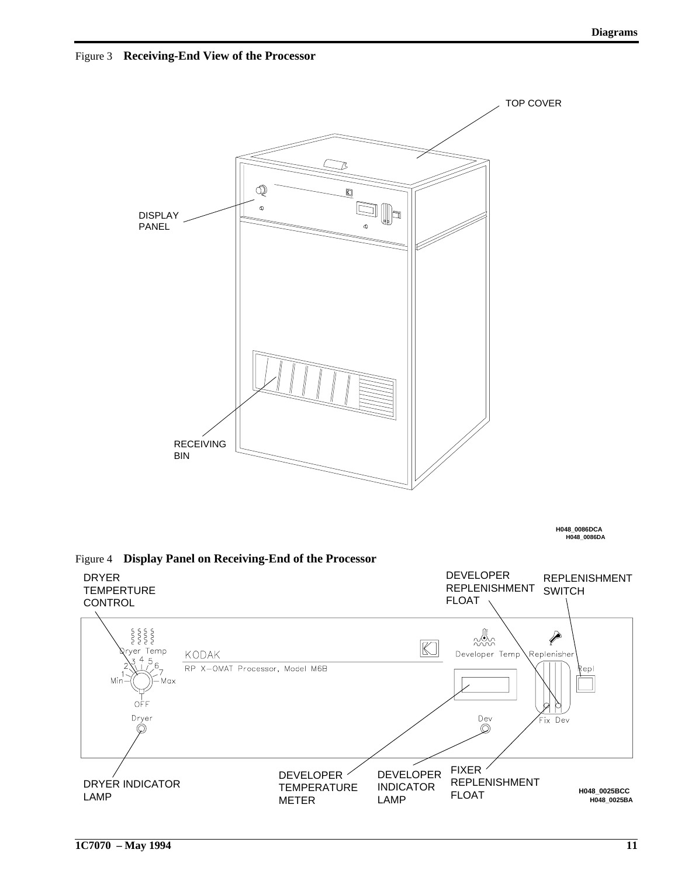Figure 3 **Receiving-End View of the Processor**



**H048\_0086DA H048\_0086DCA**



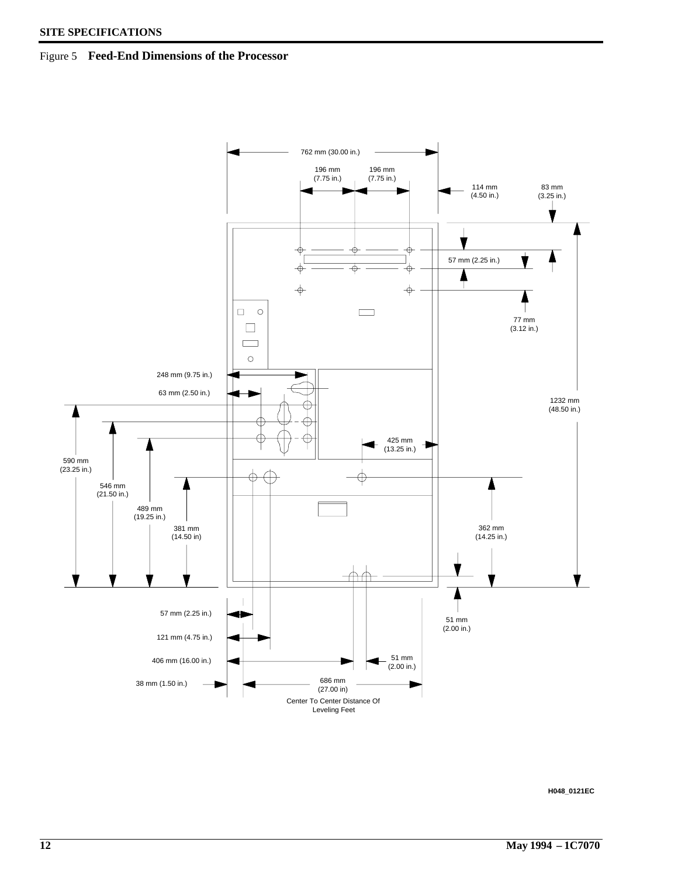#### Figure 5 **Feed-End Dimensions of the Processor**



**H048\_0121EC**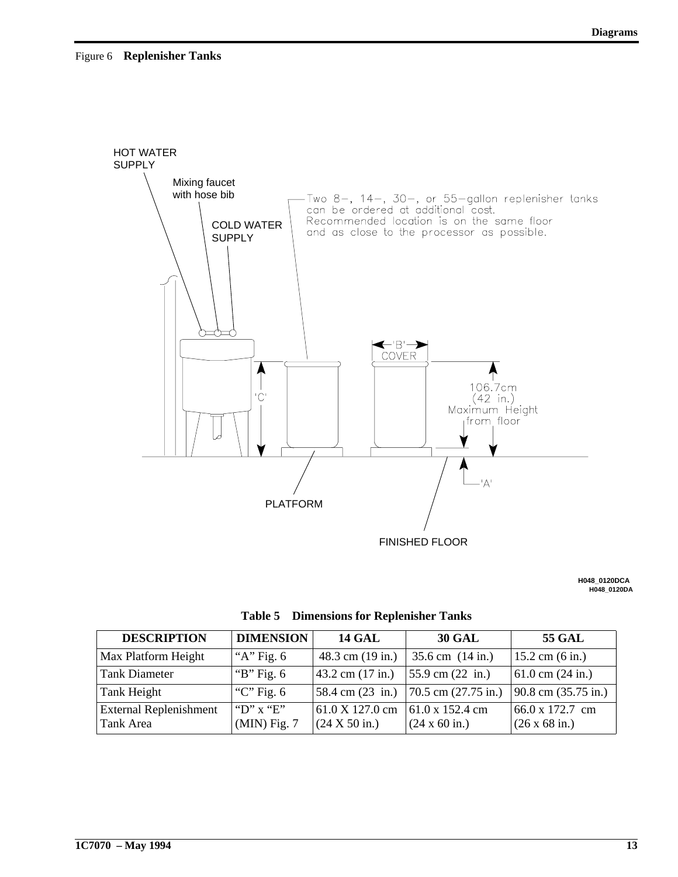

**H048\_0120DA H048\_0120DCA**

| <b>DESCRIPTION</b>                         | <b>DIMENSION</b>            | <b>14 GAL</b>                        | <b>30 GAL</b>                                                   | <b>55 GAL</b>                                   |
|--------------------------------------------|-----------------------------|--------------------------------------|-----------------------------------------------------------------|-------------------------------------------------|
| Max Platform Height                        | "A" Fig. $6$                | $48.3$ cm $(19 \text{ in.})$         | $35.6$ cm $(14 \text{ in.})$                                    | $15.2$ cm $(6 \text{ in.})$                     |
| <b>Tank Diameter</b>                       | "B" Fig. $6$                | $ 43.2 \text{ cm } (17 \text{ in.})$ | $55.9$ cm $(22 \text{ in.})$                                    | $61.0 \text{ cm}$ (24 in.)                      |
| Tank Height                                | "C" Fig. $6$                | $ 58.4 \text{ cm} (23 \text{ in.})$  | $70.5$ cm $(27.75$ in.)                                         | 90.8 cm (35.75 in.)                             |
| <b>External Replenishment</b><br>Tank Area | "D" x "E"<br>$(MIN)$ Fig. 7 | 61.0 X 127.0 cm<br>(24 X 50 in.)     | $161.0 \times 152.4 \text{ cm}$<br>$(24 \times 60 \text{ in.})$ | 66.0 x 172.7 cm<br>$(26 \times 68 \text{ in.})$ |

**Table 5 Dimensions for Replenisher Tanks**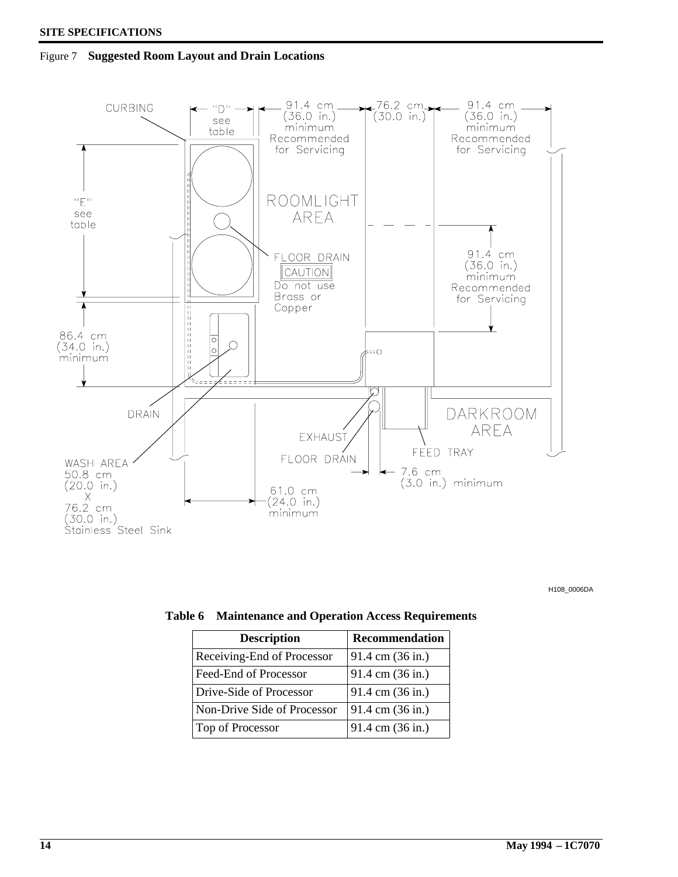Figure 7 **Suggested Room Layout and Drain Locations**



H108\_0006DA

| <b>Description</b>          | Recommendation   |
|-----------------------------|------------------|
| Receiving-End of Processor  | 91.4 cm (36 in.) |
| Feed-End of Processor       | 91.4 cm (36 in.) |
| Drive-Side of Processor     | 91.4 cm (36 in.) |
| Non-Drive Side of Processor | 91.4 cm (36 in.) |
| Top of Processor            | 91.4 cm (36 in.) |

**Table 6 Maintenance and Operation Access Requirements**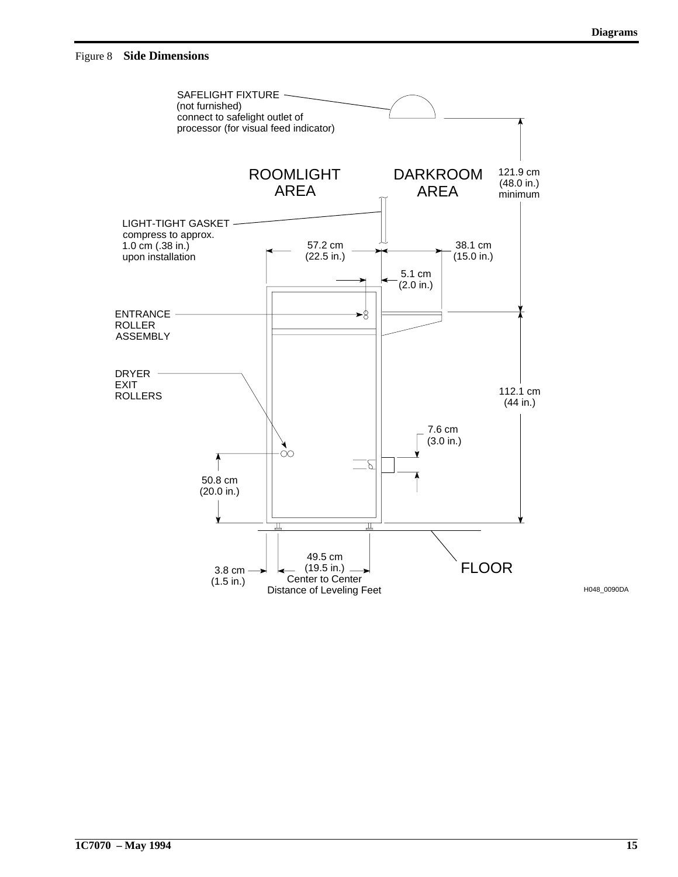

**1C7070 – May 1994 15**

H048\_0090DA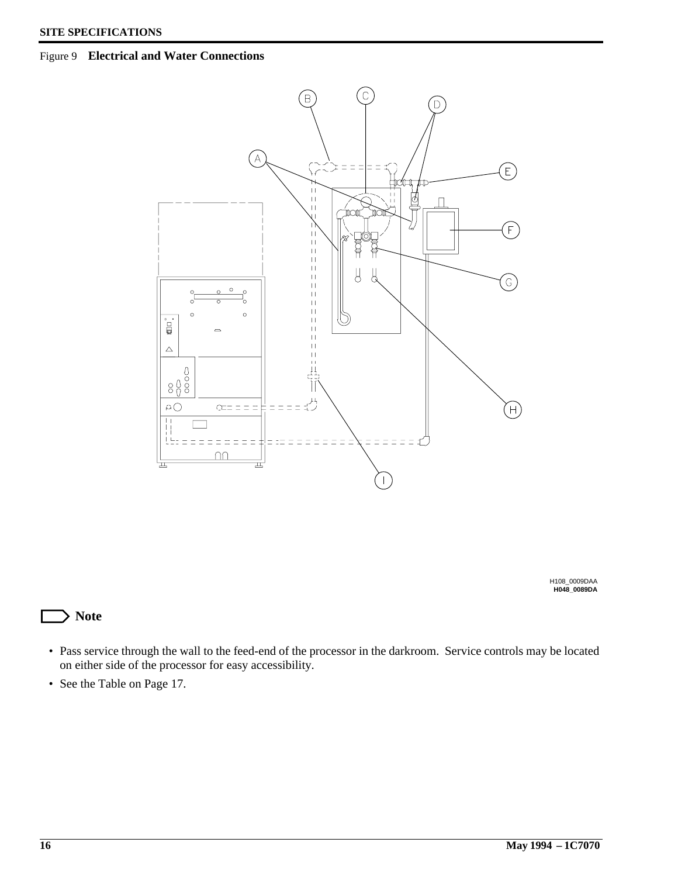#### Figure 9 **Electrical and Water Connections**



**H048\_0089DA** H108\_0009DAA

## **Note**

- Pass service through the wall to the feed-end of the processor in the darkroom. Service controls may be located on either side of the processor for easy accessibility.
- See the Table on Page 17.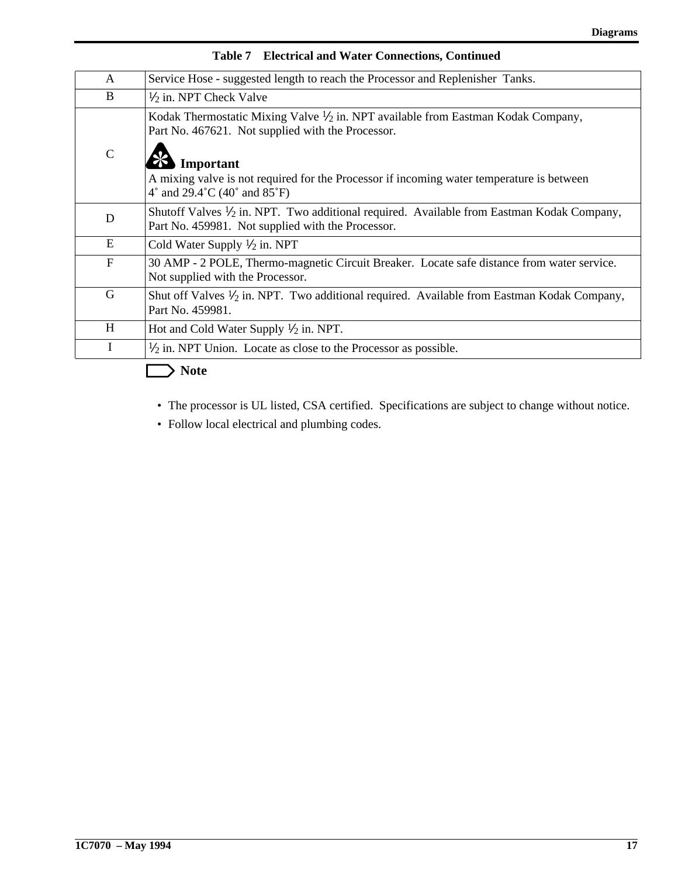| A             | Service Hose - suggested length to reach the Processor and Replenisher Tanks.                                                                                                                                                                                                              |
|---------------|--------------------------------------------------------------------------------------------------------------------------------------------------------------------------------------------------------------------------------------------------------------------------------------------|
| B             | $\frac{1}{2}$ in. NPT Check Valve                                                                                                                                                                                                                                                          |
| $\mathcal{C}$ | Kodak Thermostatic Mixing Valve $\frac{1}{2}$ in. NPT available from Eastman Kodak Company,<br>Part No. 467621. Not supplied with the Processor.<br>Important<br>A mixing valve is not required for the Processor if incoming water temperature is between<br>4° and 29.4°C (40° and 85°F) |
| D             | Shutoff Valves $\frac{1}{2}$ in. NPT. Two additional required. Available from Eastman Kodak Company,<br>Part No. 459981. Not supplied with the Processor.                                                                                                                                  |
| E             | Cold Water Supply $\frac{1}{2}$ in. NPT                                                                                                                                                                                                                                                    |
| $\mathbf{F}$  | 30 AMP - 2 POLE, Thermo-magnetic Circuit Breaker. Locate safe distance from water service.<br>Not supplied with the Processor.                                                                                                                                                             |
| G             | Shut off Valves $\frac{1}{2}$ in. NPT. Two additional required. Available from Eastman Kodak Company,<br>Part No. 459981.                                                                                                                                                                  |
| H             | Hot and Cold Water Supply $\frac{1}{2}$ in. NPT.                                                                                                                                                                                                                                           |
| I             | $\frac{1}{2}$ in. NPT Union. Locate as close to the Processor as possible.                                                                                                                                                                                                                 |

### **Table 7 Electrical and Water Connections, Continued**

 $\Rightarrow$  Note

Г

- The processor is UL listed, CSA certified. Specifications are subject to change without notice.
- Follow local electrical and plumbing codes.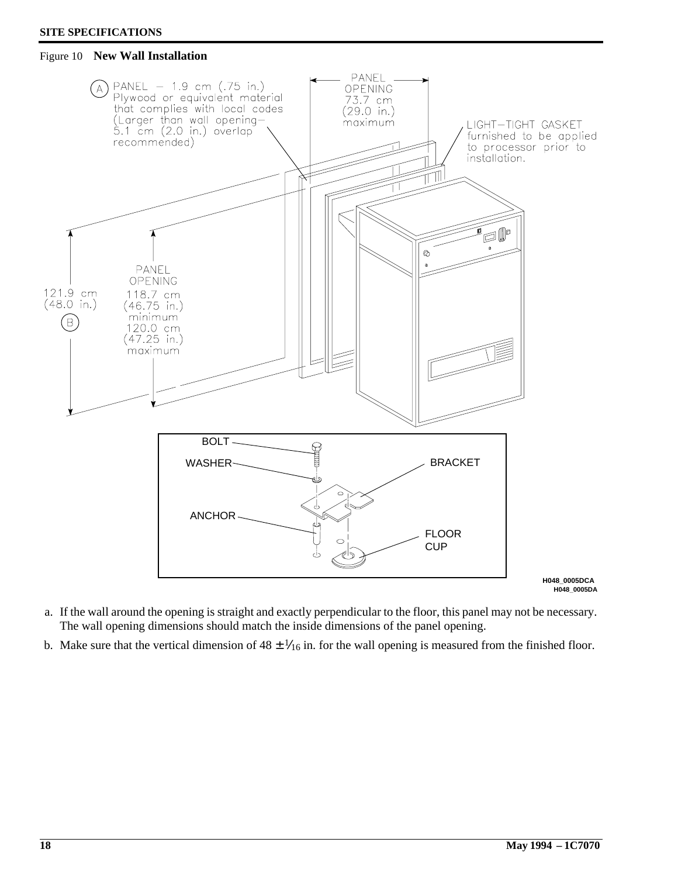#### **SITE SPECIFICATIONS**

#### Figure 10 **New Wall Installation**



- a. If the wall around the opening is straight and exactly perpendicular to the floor, this panel may not be necessary. The wall opening dimensions should match the inside dimensions of the panel opening.
- b. Make sure that the vertical dimension of  $48 \pm \frac{1}{16}$  in. for the wall opening is measured from the finished floor.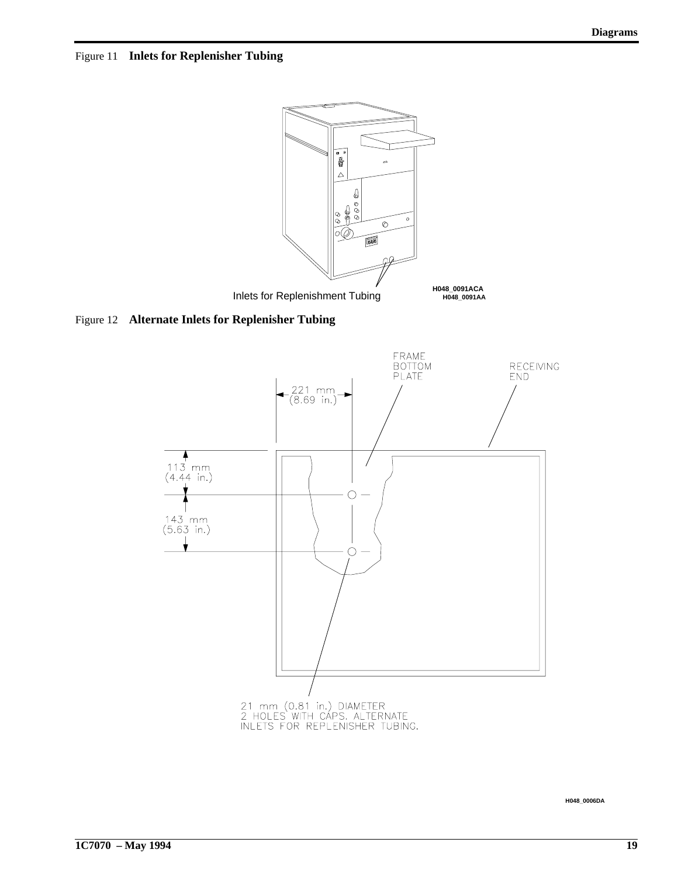Figure 11 **Inlets for Replenisher Tubing**



Figure 12 **Alternate Inlets for Replenisher Tubing**



**H048\_0006DA**